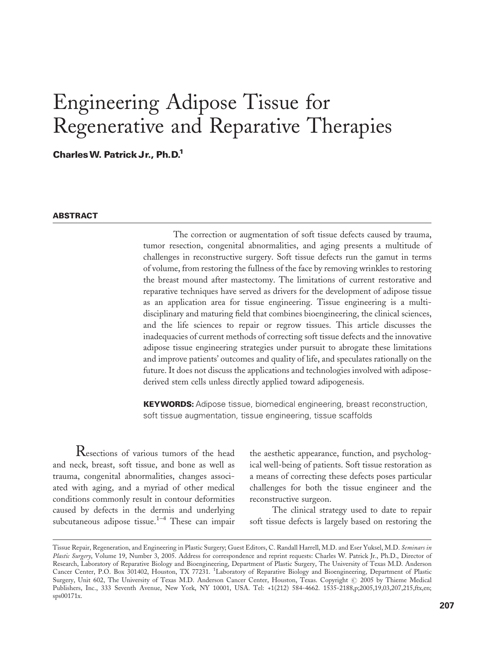# Engineering Adipose Tissue for Regenerative and Reparative Therapies

Charles W. Patrick Jr., Ph.D.<sup>1</sup>

#### **ABSTRACT**

The correction or augmentation of soft tissue defects caused by trauma, tumor resection, congenital abnormalities, and aging presents a multitude of challenges in reconstructive surgery. Soft tissue defects run the gamut in terms of volume, from restoring the fullness of the face by removing wrinkles to restoring the breast mound after mastectomy. The limitations of current restorative and reparative techniques have served as drivers for the development of adipose tissue as an application area for tissue engineering. Tissue engineering is a multidisciplinary and maturing field that combines bioengineering, the clinical sciences, and the life sciences to repair or regrow tissues. This article discusses the inadequacies of current methods of correcting soft tissue defects and the innovative adipose tissue engineering strategies under pursuit to abrogate these limitations and improve patients' outcomes and quality of life, and speculates rationally on the future. It does not discuss the applications and technologies involved with adiposederived stem cells unless directly applied toward adipogenesis.

**KEYWORDS:** Adipose tissue, biomedical engineering, breast reconstruction, soft tissue augmentation, tissue engineering, tissue scaffolds

Resections of various tumors of the head and neck, breast, soft tissue, and bone as well as trauma, congenital abnormalities, changes associated with aging, and a myriad of other medical conditions commonly result in contour deformities caused by defects in the dermis and underlying subcutaneous adipose tissue.<sup>1-4</sup> These can impair

the aesthetic appearance, function, and psychological well-being of patients. Soft tissue restoration as a means of correcting these defects poses particular challenges for both the tissue engineer and the reconstructive surgeon.

The clinical strategy used to date to repair soft tissue defects is largely based on restoring the

Tissue Repair, Regeneration, and Engineering in Plastic Surgery; Guest Editors, C. Randall Harrell, M.D. and Eser Yuksel, M.D. Seminars in Plastic Surgery, Volume 19, Number 3, 2005. Address for correspondence and reprint requests: Charles W. Patrick Jr., Ph.D., Director of Research, Laboratory of Reparative Biology and Bioengineering, Department of Plastic Surgery, The University of Texas M.D. Anderson Cancer Center, P.O. Box 301402, Houston, TX 77231. <sup>1</sup> Laboratory of Reparative Biology and Bioengineering, Department of Plastic Surgery, Unit 602, The University of Texas M.D. Anderson Cancer Center, Houston, Texas. Copyright @ 2005 by Thieme Medical Publishers, Inc., 333 Seventh Avenue, New York, NY 10001, USA. Tel: +1(212) 584-4662. 1535-2188,p;2005,19,03,207,215,ftx,en; sps00171x.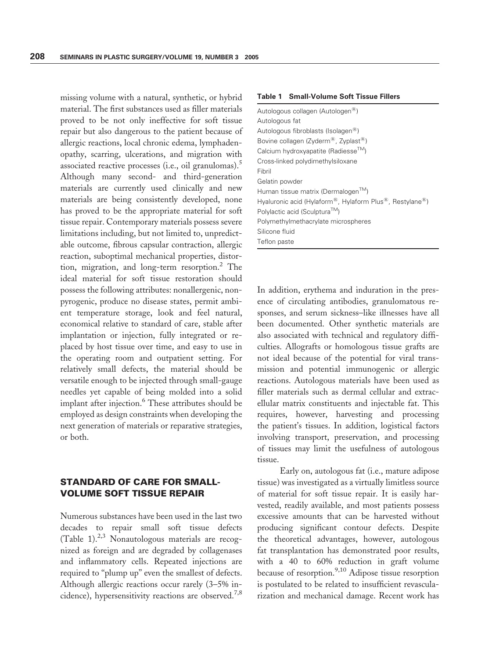missing volume with a natural, synthetic, or hybrid material. The first substances used as filler materials proved to be not only ineffective for soft tissue repair but also dangerous to the patient because of allergic reactions, local chronic edema, lymphadenopathy, scarring, ulcerations, and migration with associated reactive processes (i.e., oil granulomas).<sup>5</sup> Although many second- and third-generation materials are currently used clinically and new materials are being consistently developed, none has proved to be the appropriate material for soft tissue repair. Contemporary materials possess severe limitations including, but not limited to, unpredictable outcome, fibrous capsular contraction, allergic reaction, suboptimal mechanical properties, distortion, migration, and long-term resorption.2 The ideal material for soft tissue restoration should possess the following attributes: nonallergenic, nonpyrogenic, produce no disease states, permit ambient temperature storage, look and feel natural, economical relative to standard of care, stable after implantation or injection, fully integrated or replaced by host tissue over time, and easy to use in the operating room and outpatient setting. For relatively small defects, the material should be versatile enough to be injected through small-gauge needles yet capable of being molded into a solid implant after injection.<sup>6</sup> These attributes should be employed as design constraints when developing the next generation of materials or reparative strategies, or both.

## STANDARD OF CARE FOR SMALL-VOLUME SOFT TISSUE REPAIR

Numerous substances have been used in the last two decades to repair small soft tissue defects (Table 1). $2,3$  Nonautologous materials are recognized as foreign and are degraded by collagenases and inflammatory cells. Repeated injections are required to "plump up" even the smallest of defects. Although allergic reactions occur rarely (3–5% incidence), hypersensitivity reactions are observed.<sup>7,8</sup>

#### Table 1 Small-Volume Soft Tissue Fillers

| Autologous collagen (Autologen <sup>®</sup> )                                                  |
|------------------------------------------------------------------------------------------------|
| Autologous fat                                                                                 |
| Autologous fibroblasts (Isolagen <sup>®</sup> )                                                |
| Bovine collagen (Zyderm <sup>®</sup> , Zyplast <sup>®</sup> )                                  |
| Calcium hydroxyapatite (Radiesse™)                                                             |
| Cross-linked polydimethylsiloxane                                                              |
| Fibril                                                                                         |
| Gelatin powder                                                                                 |
| Human tissue matrix (Dermalogen <sup>™</sup> )                                                 |
| Hyaluronic acid (Hylaform <sup>®</sup> , Hylaform Plus <sup>®</sup> , Restylane <sup>®</sup> ) |
| Polylactic acid (Sculptura™)                                                                   |
| Polymethylmethacrylate microspheres                                                            |
| Silicone fluid                                                                                 |
| Teflon paste                                                                                   |

In addition, erythema and induration in the presence of circulating antibodies, granulomatous responses, and serum sickness–like illnesses have all been documented. Other synthetic materials are also associated with technical and regulatory difficulties. Allografts or homologous tissue grafts are not ideal because of the potential for viral transmission and potential immunogenic or allergic reactions. Autologous materials have been used as filler materials such as dermal cellular and extracellular matrix constituents and injectable fat. This requires, however, harvesting and processing the patient's tissues. In addition, logistical factors involving transport, preservation, and processing of tissues may limit the usefulness of autologous tissue.

Early on, autologous fat (i.e., mature adipose tissue) was investigated as a virtually limitless source of material for soft tissue repair. It is easily harvested, readily available, and most patients possess excessive amounts that can be harvested without producing significant contour defects. Despite the theoretical advantages, however, autologous fat transplantation has demonstrated poor results, with a 40 to 60% reduction in graft volume because of resorption.<sup>9,10</sup> Adipose tissue resorption is postulated to be related to insufficient revascularization and mechanical damage. Recent work has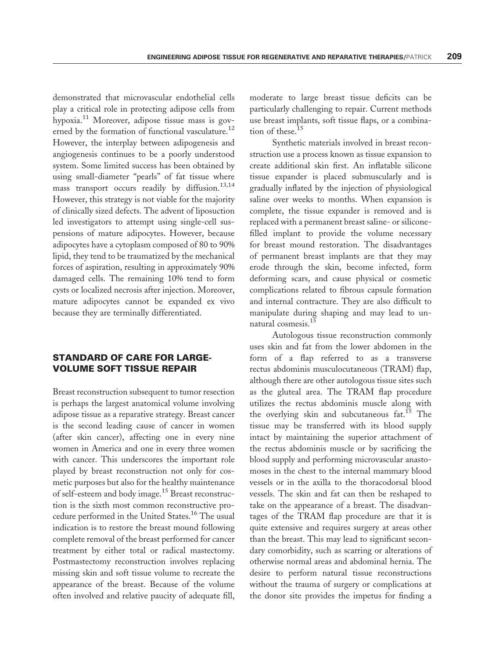demonstrated that microvascular endothelial cells play a critical role in protecting adipose cells from hypoxia.<sup>11</sup> Moreover, adipose tissue mass is governed by the formation of functional vasculature.<sup>12</sup> However, the interplay between adipogenesis and angiogenesis continues to be a poorly understood system. Some limited success has been obtained by using small-diameter ''pearls'' of fat tissue where mass transport occurs readily by diffusion.<sup>13,14</sup> However, this strategy is not viable for the majority of clinically sized defects. The advent of liposuction led investigators to attempt using single-cell suspensions of mature adipocytes. However, because adipocytes have a cytoplasm composed of 80 to 90% lipid, they tend to be traumatized by the mechanical forces of aspiration, resulting in approximately 90% damaged cells. The remaining 10% tend to form cysts or localized necrosis after injection. Moreover, mature adipocytes cannot be expanded ex vivo because they are terminally differentiated.

## STANDARD OF CARE FOR LARGE-VOLUME SOFT TISSUE REPAIR

Breast reconstruction subsequent to tumor resection is perhaps the largest anatomical volume involving adipose tissue as a reparative strategy. Breast cancer is the second leading cause of cancer in women (after skin cancer), affecting one in every nine women in America and one in every three women with cancer. This underscores the important role played by breast reconstruction not only for cosmetic purposes but also for the healthy maintenance of self-esteem and body image.<sup>15</sup> Breast reconstruction is the sixth most common reconstructive procedure performed in the United States.<sup>16</sup> The usual indication is to restore the breast mound following complete removal of the breast performed for cancer treatment by either total or radical mastectomy. Postmastectomy reconstruction involves replacing missing skin and soft tissue volume to recreate the appearance of the breast. Because of the volume often involved and relative paucity of adequate fill,

moderate to large breast tissue deficits can be particularly challenging to repair. Current methods use breast implants, soft tissue flaps, or a combination of these.<sup>15</sup>

Synthetic materials involved in breast reconstruction use a process known as tissue expansion to create additional skin first. An inflatable silicone tissue expander is placed submuscularly and is gradually inflated by the injection of physiological saline over weeks to months. When expansion is complete, the tissue expander is removed and is replaced with a permanent breast saline- or siliconefilled implant to provide the volume necessary for breast mound restoration. The disadvantages of permanent breast implants are that they may erode through the skin, become infected, form deforming scars, and cause physical or cosmetic complications related to fibrous capsule formation and internal contracture. They are also difficult to manipulate during shaping and may lead to unnatural cosmesis.<sup>15</sup>

Autologous tissue reconstruction commonly uses skin and fat from the lower abdomen in the form of a flap referred to as a transverse rectus abdominis musculocutaneous (TRAM) flap, although there are other autologous tissue sites such as the gluteal area. The TRAM flap procedure utilizes the rectus abdominis muscle along with the overlying skin and subcutaneous fat.<sup>15</sup> The tissue may be transferred with its blood supply intact by maintaining the superior attachment of the rectus abdominis muscle or by sacrificing the blood supply and performing microvascular anastomoses in the chest to the internal mammary blood vessels or in the axilla to the thoracodorsal blood vessels. The skin and fat can then be reshaped to take on the appearance of a breast. The disadvantages of the TRAM flap procedure are that it is quite extensive and requires surgery at areas other than the breast. This may lead to significant secondary comorbidity, such as scarring or alterations of otherwise normal areas and abdominal hernia. The desire to perform natural tissue reconstructions without the trauma of surgery or complications at the donor site provides the impetus for finding a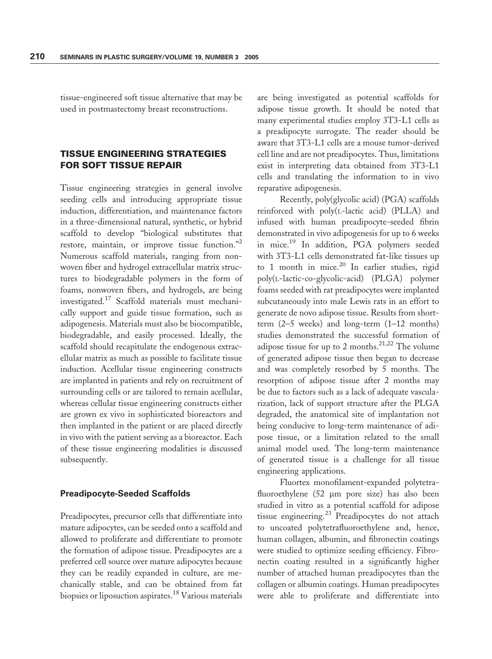tissue-engineered soft tissue alternative that may be used in postmastectomy breast reconstructions.

## TISSUE ENGINEERING STRATEGIES FOR SOFT TISSUE REPAIR

Tissue engineering strategies in general involve seeding cells and introducing appropriate tissue induction, differentiation, and maintenance factors in a three-dimensional natural, synthetic, or hybrid scaffold to develop ''biological substitutes that restore, maintain, or improve tissue function."<sup>2</sup> Numerous scaffold materials, ranging from nonwoven fiber and hydrogel extracellular matrix structures to biodegradable polymers in the form of foams, nonwoven fibers, and hydrogels, are being investigated.<sup>17</sup> Scaffold materials must mechanically support and guide tissue formation, such as adipogenesis. Materials must also be biocompatible, biodegradable, and easily processed. Ideally, the scaffold should recapitulate the endogenous extracellular matrix as much as possible to facilitate tissue induction. Acellular tissue engineering constructs are implanted in patients and rely on recruitment of surrounding cells or are tailored to remain acellular, whereas cellular tissue engineering constructs either are grown ex vivo in sophisticated bioreactors and then implanted in the patient or are placed directly in vivo with the patient serving as a bioreactor. Each of these tissue engineering modalities is discussed subsequently.

#### Preadipocyte-Seeded Scaffolds

Preadipocytes, precursor cells that differentiate into mature adipocytes, can be seeded onto a scaffold and allowed to proliferate and differentiate to promote the formation of adipose tissue. Preadipocytes are a preferred cell source over mature adipocytes because they can be readily expanded in culture, are mechanically stable, and can be obtained from fat biopsies or liposuction aspirates.18 Various materials are being investigated as potential scaffolds for adipose tissue growth. It should be noted that many experimental studies employ 3T3-L1 cells as a preadipocyte surrogate. The reader should be aware that 3T3-L1 cells are a mouse tumor-derived cell line and are not preadipocytes. Thus, limitations exist in interpreting data obtained from 3T3-L1 cells and translating the information to in vivo reparative adipogenesis.

Recently, poly(glycolic acid) (PGA) scaffolds reinforced with poly(L-lactic acid) (PLLA) and infused with human preadipocyte-seeded fibrin demonstrated in vivo adipogenesis for up to 6 weeks in mice.19 In addition, PGA polymers seeded with 3T3-L1 cells demonstrated fat-like tissues up to 1 month in mice.<sup>20</sup> In earlier studies, rigid poly(L-lactic-co-glycolic-acid) (PLGA) polymer foams seeded with rat preadipocytes were implanted subcutaneously into male Lewis rats in an effort to generate de novo adipose tissue. Results from shortterm (2–5 weeks) and long-term (1–12 months) studies demonstrated the successful formation of adipose tissue for up to 2 months.<sup>21,22</sup> The volume of generated adipose tissue then began to decrease and was completely resorbed by 5 months. The resorption of adipose tissue after 2 months may be due to factors such as a lack of adequate vascularization, lack of support structure after the PLGA degraded, the anatomical site of implantation not being conducive to long-term maintenance of adipose tissue, or a limitation related to the small animal model used. The long-term maintenance of generated tissue is a challenge for all tissue engineering applications.

Fluortex monofilament-expanded polytetrafluoroethylene  $(52 \mu m)$  pore size) has also been studied in vitro as a potential scaffold for adipose tissue engineering.<sup>23</sup> Preadipocytes do not attach to uncoated polytetrafluoroethylene and, hence, human collagen, albumin, and fibronectin coatings were studied to optimize seeding efficiency. Fibronectin coating resulted in a significantly higher number of attached human preadipocytes than the collagen or albumin coatings. Human preadipocytes were able to proliferate and differentiate into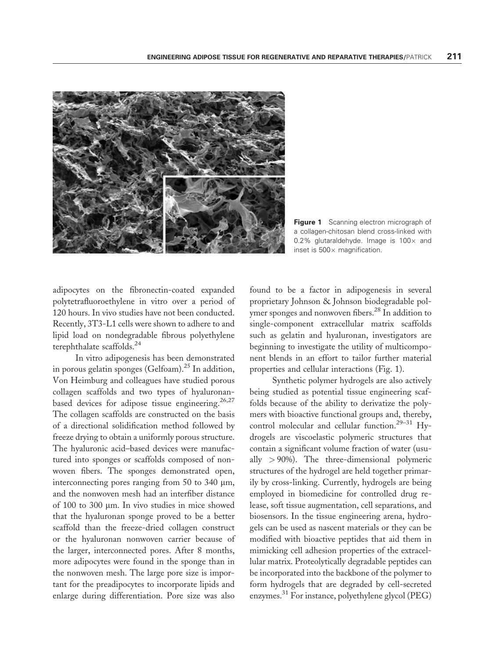

Figure 1 Scanning electron micrograph of a collagen-chitosan blend cross-linked with 0.2% glutaraldehyde. Image is  $100 \times$  and inset is  $500 \times$  magnification.

adipocytes on the fibronectin-coated expanded polytetrafluoroethylene in vitro over a period of 120 hours. In vivo studies have not been conducted. Recently, 3T3-L1 cells were shown to adhere to and lipid load on nondegradable fibrous polyethylene terephthalate scaffolds.24

In vitro adipogenesis has been demonstrated in porous gelatin sponges (Gelfoam). $^{25}$  In addition, Von Heimburg and colleagues have studied porous collagen scaffolds and two types of hyaluronanbased devices for adipose tissue engineering.<sup>26,27</sup> The collagen scaffolds are constructed on the basis of a directional solidification method followed by freeze drying to obtain a uniformly porous structure. The hyaluronic acid–based devices were manufactured into sponges or scaffolds composed of nonwoven fibers. The sponges demonstrated open, interconnecting pores ranging from  $50$  to  $340 \mu m$ , and the nonwoven mesh had an interfiber distance of 100 to 300 µm. In vivo studies in mice showed that the hyaluronan sponge proved to be a better scaffold than the freeze-dried collagen construct or the hyaluronan nonwoven carrier because of the larger, interconnected pores. After 8 months, more adipocytes were found in the sponge than in the nonwoven mesh. The large pore size is important for the preadipocytes to incorporate lipids and enlarge during differentiation. Pore size was also

found to be a factor in adipogenesis in several proprietary Johnson & Johnson biodegradable polymer sponges and nonwoven fibers.<sup>28</sup> In addition to single-component extracellular matrix scaffolds such as gelatin and hyaluronan, investigators are beginning to investigate the utility of multicomponent blends in an effort to tailor further material properties and cellular interactions (Fig. 1).

Synthetic polymer hydrogels are also actively being studied as potential tissue engineering scaffolds because of the ability to derivatize the polymers with bioactive functional groups and, thereby, control molecular and cellular function.29–31 Hydrogels are viscoelastic polymeric structures that contain a significant volume fraction of water (usually  $> 90\%$ ). The three-dimensional polymeric structures of the hydrogel are held together primarily by cross-linking. Currently, hydrogels are being employed in biomedicine for controlled drug release, soft tissue augmentation, cell separations, and biosensors. In the tissue engineering arena, hydrogels can be used as nascent materials or they can be modified with bioactive peptides that aid them in mimicking cell adhesion properties of the extracellular matrix. Proteolytically degradable peptides can be incorporated into the backbone of the polymer to form hydrogels that are degraded by cell-secreted enzymes. <sup>31</sup> For instance, polyethylene glycol (PEG)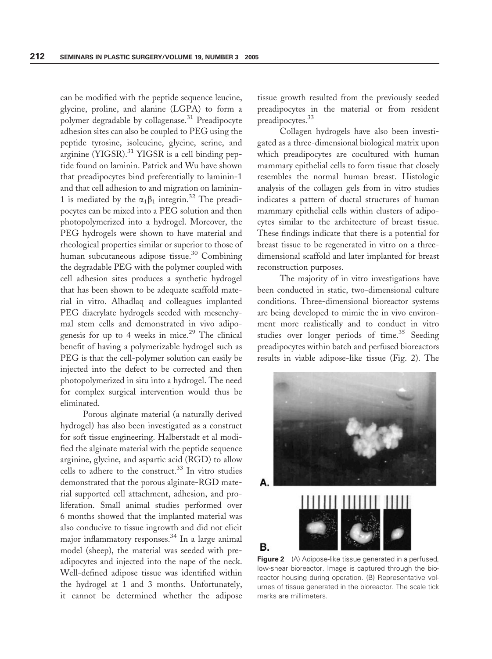can be modified with the peptide sequence leucine, glycine, proline, and alanine (LGPA) to form a polymer degradable by collagenase.<sup>31</sup> Preadipocyte adhesion sites can also be coupled to PEG using the peptide tyrosine, isoleucine, glycine, serine, and arginine (YIGSR).<sup>31</sup> YIGSR is a cell binding peptide found on laminin. Patrick and Wu have shown that preadipocytes bind preferentially to laminin-1 and that cell adhesion to and migration on laminin-1 is mediated by the  $\alpha_1\beta_1$  integrin.<sup>32</sup> The preadipocytes can be mixed into a PEG solution and then photopolymerized into a hydrogel. Moreover, the PEG hydrogels were shown to have material and rheological properties similar or superior to those of human subcutaneous adipose tissue.<sup>30</sup> Combining the degradable PEG with the polymer coupled with cell adhesion sites produces a synthetic hydrogel that has been shown to be adequate scaffold material in vitro. Alhadlaq and colleagues implanted PEG diacrylate hydrogels seeded with mesenchymal stem cells and demonstrated in vivo adipogenesis for up to 4 weeks in mice.<sup>29</sup> The clinical benefit of having a polymerizable hydrogel such as PEG is that the cell-polymer solution can easily be injected into the defect to be corrected and then photopolymerized in situ into a hydrogel. The need for complex surgical intervention would thus be eliminated.

Porous alginate material (a naturally derived hydrogel) has also been investigated as a construct for soft tissue engineering. Halberstadt et al modified the alginate material with the peptide sequence arginine, glycine, and aspartic acid (RGD) to allow cells to adhere to the construct.<sup>33</sup> In vitro studies demonstrated that the porous alginate-RGD material supported cell attachment, adhesion, and proliferation. Small animal studies performed over 6 months showed that the implanted material was also conducive to tissue ingrowth and did not elicit major inflammatory responses.<sup>34</sup> In a large animal model (sheep), the material was seeded with preadipocytes and injected into the nape of the neck. Well-defined adipose tissue was identified within the hydrogel at 1 and 3 months. Unfortunately, it cannot be determined whether the adipose

tissue growth resulted from the previously seeded preadipocytes in the material or from resident preadipocytes.<sup>33</sup>

Collagen hydrogels have also been investigated as a three-dimensional biological matrix upon which preadipocytes are cocultured with human mammary epithelial cells to form tissue that closely resembles the normal human breast. Histologic analysis of the collagen gels from in vitro studies indicates a pattern of ductal structures of human mammary epithelial cells within clusters of adipocytes similar to the architecture of breast tissue. These findings indicate that there is a potential for breast tissue to be regenerated in vitro on a threedimensional scaffold and later implanted for breast reconstruction purposes.

The majority of in vitro investigations have been conducted in static, two-dimensional culture conditions. Three-dimensional bioreactor systems are being developed to mimic the in vivo environment more realistically and to conduct in vitro studies over longer periods of time.<sup>35</sup> Seeding preadipocytes within batch and perfused bioreactors results in viable adipose-like tissue (Fig. 2). The



**Figure 2** (A) Adipose-like tissue generated in a perfused, low-shear bioreactor. Image is captured through the bioreactor housing during operation. (B) Representative volumes of tissue generated in the bioreactor. The scale tick marks are millimeters.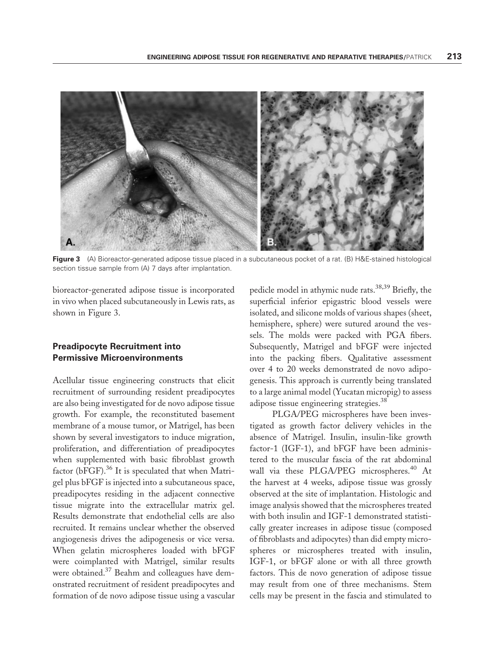

Figure 3 (A) Bioreactor-generated adipose tissue placed in a subcutaneous pocket of a rat. (B) H&E-stained histological section tissue sample from (A) 7 days after implantation.

bioreactor-generated adipose tissue is incorporated in vivo when placed subcutaneously in Lewis rats, as shown in Figure 3.

#### Preadipocyte Recruitment into Permissive Microenvironments

Acellular tissue engineering constructs that elicit recruitment of surrounding resident preadipocytes are also being investigated for de novo adipose tissue growth. For example, the reconstituted basement membrane of a mouse tumor, or Matrigel, has been shown by several investigators to induce migration, proliferation, and differentiation of preadipocytes when supplemented with basic fibroblast growth factor (bFGF). $36$  It is speculated that when Matrigel plus bFGF is injected into a subcutaneous space, preadipocytes residing in the adjacent connective tissue migrate into the extracellular matrix gel. Results demonstrate that endothelial cells are also recruited. It remains unclear whether the observed angiogenesis drives the adipogenesis or vice versa. When gelatin microspheres loaded with bFGF were coimplanted with Matrigel, similar results were obtained.37 Beahm and colleagues have demonstrated recruitment of resident preadipocytes and formation of de novo adipose tissue using a vascular

pedicle model in athymic nude rats.<sup>38,39</sup> Briefly, the superficial inferior epigastric blood vessels were isolated, and silicone molds of various shapes (sheet, hemisphere, sphere) were sutured around the vessels. The molds were packed with PGA fibers. Subsequently, Matrigel and bFGF were injected into the packing fibers. Qualitative assessment over 4 to 20 weeks demonstrated de novo adipogenesis. This approach is currently being translated to a large animal model (Yucatan micropig) to assess adipose tissue engineering strategies.<sup>38</sup>

PLGA/PEG microspheres have been investigated as growth factor delivery vehicles in the absence of Matrigel. Insulin, insulin-like growth factor-1 (IGF-1), and bFGF have been administered to the muscular fascia of the rat abdominal wall via these PLGA/PEG microspheres.<sup>40</sup> At the harvest at 4 weeks, adipose tissue was grossly observed at the site of implantation. Histologic and image analysis showed that the microspheres treated with both insulin and IGF-1 demonstrated statistically greater increases in adipose tissue (composed of fibroblasts and adipocytes) than did empty microspheres or microspheres treated with insulin, IGF-1, or bFGF alone or with all three growth factors. This de novo generation of adipose tissue may result from one of three mechanisms. Stem cells may be present in the fascia and stimulated to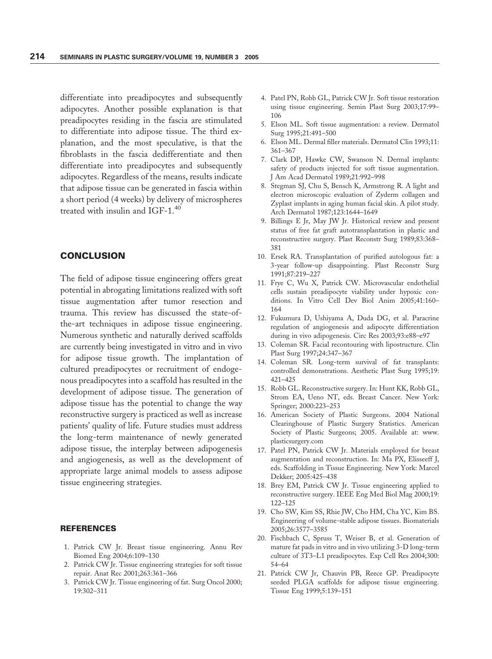differentiate into preadipocytes and subsequently adipocytes. Another possible explanation is that preadipocytes residing in the fascia are stimulated to differentiate into adipose tissue. The third explanation, and the most speculative, is that the fibroblasts in the fascia dedifferentiate and then differentiate into preadipocytes and subsequently adipocytes. Regardless of the means, results indicate that adipose tissue can be generated in fascia within a short period (4 weeks) by delivery of microspheres treated with insulin and IGF-1.<sup>40</sup>

## **CONCLUSION**

The field of adipose tissue engineering offers great potential in abrogating limitations realized with soft tissue augmentation after tumor resection and trauma. This review has discussed the state-ofthe-art techniques in adipose tissue engineering. Numerous synthetic and naturally derived scaffolds are currently being investigated in vitro and in vivo for adipose tissue growth. The implantation of cultured preadipocytes or recruitment of endogenous preadipocytes into a scaffold has resulted in the development of adipose tissue. The generation of adipose tissue has the potential to change the way reconstructive surgery is practiced as well as increase patients' quality of life. Future studies must address the long-term maintenance of newly generated adipose tissue, the interplay between adipogenesis and angiogenesis, as well as the development of appropriate large animal models to assess adipose tissue engineering strategies.

#### REFERENCES

- 1. Patrick CW Jr. Breast tissue engineering. Annu Rev Biomed Eng 2004;6:109–130
- 2. Patrick CW Jr. Tissue engineering strategies for soft tissue repair. Anat Rec 2001;263:361–366
- 3. Patrick CW Jr. Tissue engineering of fat. Surg Oncol 2000; 19:302–311
- 4. Patel PN, Robb GL, Patrick CW Jr. Soft tissue restoration using tissue engineering. Semin Plast Surg 2003;17:99– 106
- 5. Elson ML. Soft tissue augmentation: a review. Dermatol Surg 1995;21:491–500
- 6. Elson ML. Dermal filler materials. Dermatol Clin 1993;11: 361–367
- 7. Clark DP, Hawke CW, Swanson N. Dermal implants: safety of products injected for soft tissue augmentation. J Am Acad Dermatol 1989;21:992–998
- 8. Stegman SJ, Chu S, Bensch K, Armstrong R. A light and electron microscopic evaluation of Zyderm collagen and Zyplast implants in aging human facial skin. A pilot study. Arch Dermatol 1987;123:1644–1649
- 9. Billings E Jr, May JW Jr. Historical review and present status of free fat graft autotransplantation in plastic and reconstructive surgery. Plast Reconstr Surg 1989;83:368– 381
- 10. Ersek RA. Transplantation of purified autologous fat: a 3-year follow-up disappointing. Plast Reconstr Surg 1991;87:219–227
- 11. Frye C, Wu X, Patrick CW. Microvascular endothelial cells sustain preadipocyte viability under hypoxic conditions. In Vitro Cell Dev Biol Anim 2005;41:160– 164
- 12. Fukumura D, Ushiyama A, Duda DG, et al. Paracrine regulation of angiogenesis and adipocyte differentiation during in vivo adipogenesis. Circ Res 2003;93:e88–e97
- 13. Coleman SR. Facial recontouring with lipostructure. Clin Plast Surg 1997;24:347–367
- 14. Coleman SR. Long-term survival of fat transplants: controlled demonstrations. Aesthetic Plast Surg 1995;19: 421–425
- 15. Robb GL. Reconstructive surgery. In: Hunt KK, Robb GL, Strom EA, Ueno NT, eds. Breast Cancer. New York: Springer; 2000:223–253
- 16. American Society of Plastic Surgeons. 2004 National Clearinghouse of Plastic Surgery Statistics. American Society of Plastic Surgeons; 2005. Available at: www. plasticsurgery.com
- 17. Patel PN, Patrick CW Jr. Materials employed for breast augmentation and reconstruction. In: Ma PX, Elisseeff J, eds. Scaffolding in Tissue Engineering. New York: Marcel Dekker; 2005:425–438
- 18. Brey EM, Patrick CW Jr. Tissue engineering applied to reconstructive surgery. IEEE Eng Med Biol Mag 2000;19: 122–125
- 19. Cho SW, Kim SS, Rhie JW, Cho HM, Cha YC, Kim BS. Engineering of volume-stable adipose tissues. Biomaterials 2005;26:3577–3585
- 20. Fischbach C, Spruss T, Weiser B, et al. Generation of mature fat pads in vitro and in vivo utilizing 3-D long-term culture of 3T3–L1 preadipocytes. Exp Cell Res 2004;300: 54–64
- 21. Patrick CW Jr, Chauvin PB, Reece GP. Preadipocyte seeded PLGA scaffolds for adipose tissue engineering. Tissue Eng 1999;5:139–151